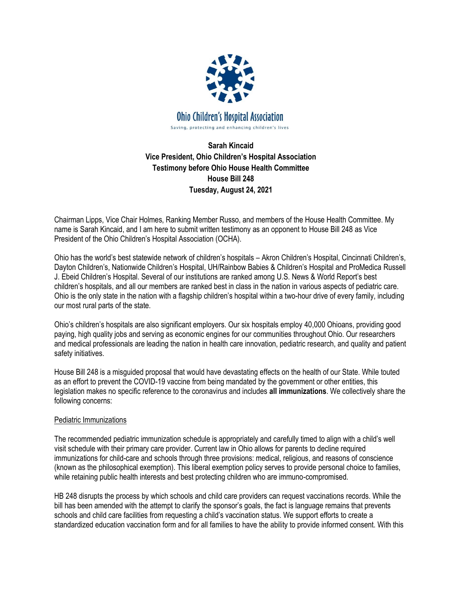

**Sarah Kincaid Vice President, Ohio Children's Hospital Association Testimony before Ohio House Health Committee House Bill 248 Tuesday, August 24, 2021**

Chairman Lipps, Vice Chair Holmes, Ranking Member Russo, and members of the House Health Committee. My name is Sarah Kincaid, and I am here to submit written testimony as an opponent to House Bill 248 as Vice President of the Ohio Children's Hospital Association (OCHA).

Ohio has the world's best statewide network of children's hospitals – Akron Children's Hospital, Cincinnati Children's, Dayton Children's, Nationwide Children's Hospital, UH/Rainbow Babies & Children's Hospital and ProMedica Russell J. Ebeid Children's Hospital. Several of our institutions are ranked among U.S. News & World Report's best children's hospitals, and all our members are ranked best in class in the nation in various aspects of pediatric care. Ohio is the only state in the nation with a flagship children's hospital within a two-hour drive of every family, including our most rural parts of the state.

Ohio's children's hospitals are also significant employers. Our six hospitals employ 40,000 Ohioans, providing good paying, high quality jobs and serving as economic engines for our communities throughout Ohio. Our researchers and medical professionals are leading the nation in health care innovation, pediatric research, and quality and patient safety initiatives.

House Bill 248 is a misguided proposal that would have devastating effects on the health of our State. While touted as an effort to prevent the COVID-19 vaccine from being mandated by the government or other entities, this legislation makes no specific reference to the coronavirus and includes **all immunizations**. We collectively share the following concerns:

## Pediatric Immunizations

The recommended pediatric immunization schedule is appropriately and carefully timed to align with a child's well visit schedule with their primary care provider. Current law in Ohio allows for parents to decline required immunizations for child-care and schools through three provisions: medical, religious, and reasons of conscience (known as the philosophical exemption). This liberal exemption policy serves to provide personal choice to families, while retaining public health interests and best protecting children who are immuno-compromised.

HB 248 disrupts the process by which schools and child care providers can request vaccinations records. While the bill has been amended with the attempt to clarify the sponsor's goals, the fact is language remains that prevents schools and child care facilities from requesting a child's vaccination status. We support efforts to create a standardized education vaccination form and for all families to have the ability to provide informed consent. With this